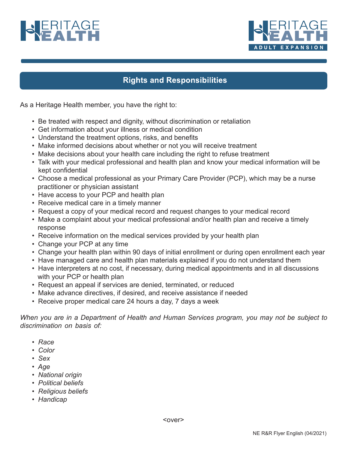



## **Rights and Responsibilities**

As a Heritage Health member, you have the right to:

- Be treated with respect and dignity, without discrimination or retaliation
- Get information about your illness or medical condition
- Understand the treatment options, risks, and benefits
- Make informed decisions about whether or not you will receive treatment
- Make decisions about your health care including the right to refuse treatment
- Talk with your medical professional and health plan and know your medical information will be kept confidential
- Choose a medical professional as your Primary Care Provider (PCP), which may be a nurse practitioner or physician assistant
- Have access to your PCP and health plan
- Receive medical care in a timely manner
- Request a copy of your medical record and request changes to your medical record
- Make a complaint about your medical professional and/or health plan and receive a timely response
- Receive information on the medical services provided by your health plan
- Change your PCP at any time
- Change your health plan within 90 days of initial enrollment or during open enrollment each year
- Have managed care and health plan materials explained if you do not understand them
- Have interpreters at no cost, if necessary, during medical appointments and in all discussions with your PCP or health plan
- Request an appeal if services are denied, terminated, or reduced
- Make advance directives, if desired, and receive assistance if needed
- Receive proper medical care 24 hours a day, 7 days a week

*When you are in a Department of Health and Human Services program, you may not be subject to discrimination on basis of:*

- *Race*
- *Color*
- *Sex*
- *Age*
- *National origin*
- *Political beliefs*
- *Religious beliefs*
- *Handicap*